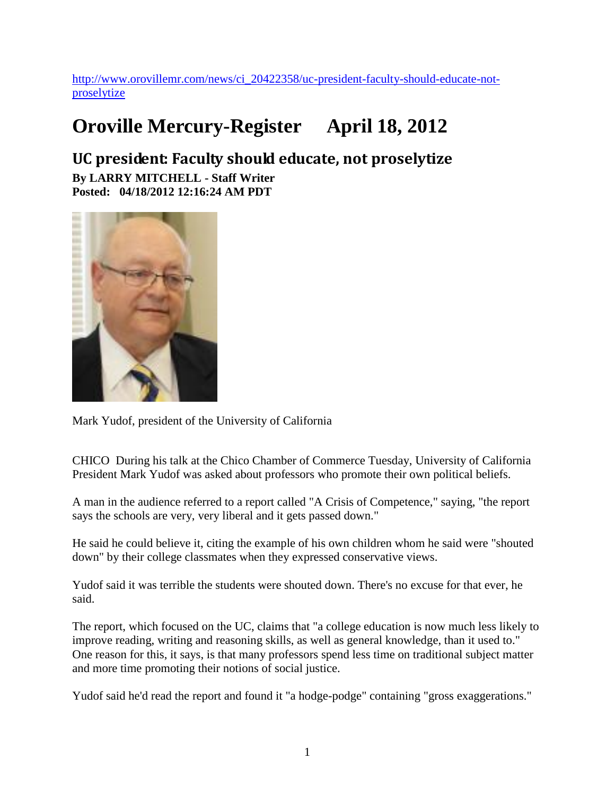[http://www.orovillemr.com/news/ci\\_20422358/uc-president-faculty-should-educate-not](http://www.orovillemr.com/news/ci_20422358/uc-president-faculty-should-educate-not-proselytize)[proselytize](http://www.orovillemr.com/news/ci_20422358/uc-president-faculty-should-educate-not-proselytize)

## **Oroville Mercury-Register April 18, 2012**

**UC president: Faculty should educate, not proselytize By LARRY MITCHELL - Staff Writer Posted: 04/18/2012 12:16:24 AM PDT**



Mark Yudof, president of the University of California

CHICO During his talk at the Chico Chamber of Commerce Tuesday, University of California President Mark Yudof was asked about professors who promote their own political beliefs.

A man in the audience referred to a report called "A Crisis of Competence," saying, "the report says the schools are very, very liberal and it gets passed down."

He said he could believe it, citing the example of his own children whom he said were "shouted down" by their college classmates when they expressed conservative views.

Yudof said it was terrible the students were shouted down. There's no excuse for that ever, he said.

The report, which focused on the UC, claims that "a college education is now much less likely to improve reading, writing and reasoning skills, as well as general knowledge, than it used to." One reason for this, it says, is that many professors spend less time on traditional subject matter and more time promoting their notions of social justice.

Yudof said he'd read the report and found it "a hodge-podge" containing "gross exaggerations."